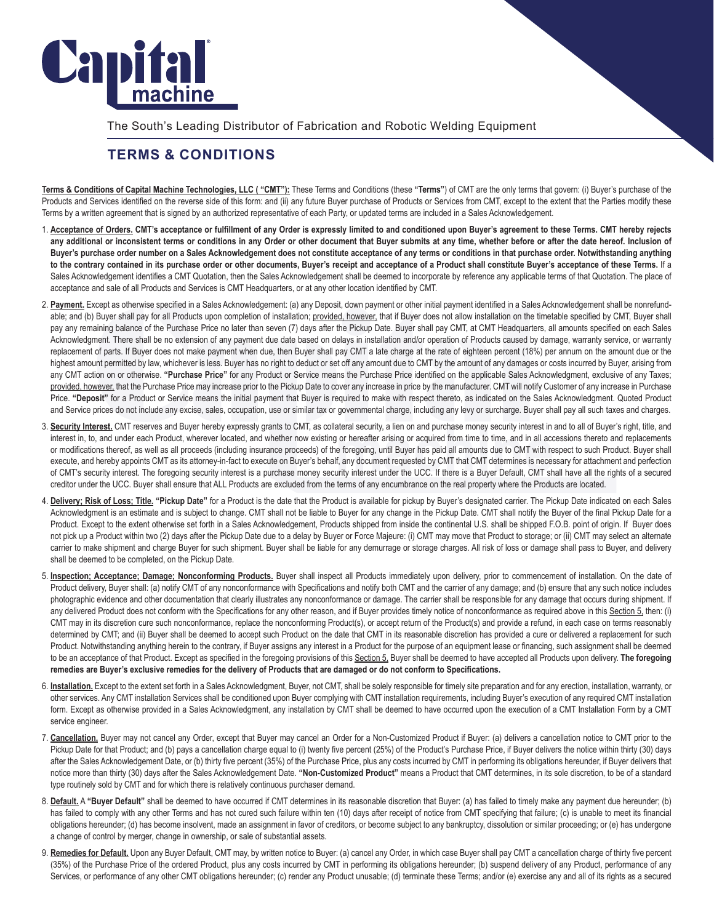

The South's Leading Distributor of Fabrication and Robotic Welding Equipment

## **TERMS & CONDITIONS**

**Terms & Conditions of Capital Machine Technologies, LLC ( "CMT"):** These Terms and Conditions (these **"Terms"**) of CMT are the only terms that govern: (i) Buyer's purchase of the Products and Services identified on the reverse side of this form: and (ii) any future Buyer purchase of Products or Services from CMT, except to the extent that the Parties modify these Terms by a written agreement that is signed by an authorized representative of each Party, or updated terms are included in a Sales Acknowledgement.

- 1. **Acceptance of Orders. CMT's acceptance or fulfillment of any Order is expressly limited to and conditioned upon Buyer's agreement to these Terms. CMT hereby rejects any additional or inconsistent terms or conditions in any Order or other document that Buyer submits at any time, whether before or after the date hereof. Inclusion of Buyer's purchase order number on a Sales Acknowledgement does not constitute acceptance of any terms or conditions in that purchase order. Notwithstanding anything to the contrary contained in its purchase order or other documents, Buyer's receipt and acceptance of a Product shall constitute Buyer's acceptance of these Terms.** If a Sales Acknowledgement identifies a CMT Quotation, then the Sales Acknowledgement shall be deemed to incorporate by reference any applicable terms of that Quotation. The place of acceptance and sale of all Products and Services is CMT Headquarters, or at any other location identified by CMT.
- 2. **Payment.** Except as otherwise specified in a Sales Acknowledgement: (a) any Deposit, down payment or other initial payment identified in a Sales Acknowledgement shall be nonrefundable; and (b) Buyer shall pay for all Products upon completion of installation; provided, however, that if Buyer does not allow installation on the timetable specified by CMT, Buyer shall pay any remaining balance of the Purchase Price no later than seven (7) days after the Pickup Date. Buyer shall pay CMT, at CMT Headquarters, all amounts specified on each Sales Acknowledgment. There shall be no extension of any payment due date based on delays in installation and/or operation of Products caused by damage, warranty service, or warranty replacement of parts. If Buyer does not make payment when due, then Buyer shall pay CMT a late charge at the rate of eighteen percent (18%) per annum on the amount due or the highest amount permitted by law, whichever is less. Buyer has no right to deduct or set off any amount due to CMT by the amount of any damages or costs incurred by Buyer, arising from any CMT action on or otherwise. **"Purchase Price"** for any Product or Service means the Purchase Price identified on the applicable Sales Acknowledgment, exclusive of any Taxes; provided, however, that the Purchase Price may increase prior to the Pickup Date to cover any increase in price by the manufacturer. CMT will notify Customer of any increase in Purchase Price. "Deposit" for a Product or Service means the initial payment that Buyer is required to make with respect thereto, as indicated on the Sales Acknowledgment. Quoted Product and Service prices do not include any excise, sales, occupation, use or similar tax or governmental charge, including any levy or surcharge. Buyer shall pay all such taxes and charges.
- 3. Security Interest. CMT reserves and Buyer hereby expressly grants to CMT, as collateral security, a lien on and purchase money security interest in and to all of Buyer's right, title, and interest in, to, and under each Product, wherever located, and whether now existing or hereafter arising or acquired from time to time, and in all accessions thereto and replacements or modifications thereof, as well as all proceeds (including insurance proceeds) of the foregoing, until Buyer has paid all amounts due to CMT with respect to such Product. Buyer shall execute, and hereby appoints CMT as its attorney-in-fact to execute on Buyer's behalf, any document requested by CMT that CMT determines is necessary for attachment and perfection of CMT's security interest. The foregoing security interest is a purchase money security interest under the UCC. If there is a Buyer Default, CMT shall have all the rights of a secured creditor under the UCC. Buyer shall ensure that ALL Products are excluded from the terms of any encumbrance on the real property where the Products are located.
- 4. Delivery; Risk of Loss; Title. "Pickup Date" for a Product is the date that the Product is available for pickup by Buyer's designated carrier. The Pickup Date indicated on each Sales Acknowledgment is an estimate and is subject to change. CMT shall not be liable to Buyer for any change in the Pickup Date. CMT shall notify the Buyer of the final Pickup Date for a Product. Except to the extent otherwise set forth in a Sales Acknowledgement, Products shipped from inside the continental U.S. shall be shipped F.O.B. point of origin. If Buyer does not pick up a Product within two (2) days after the Pickup Date due to a delay by Buyer or Force Majeure: (i) CMT may move that Product to storage; or (ii) CMT may select an alternate carrier to make shipment and charge Buyer for such shipment. Buyer shall be liable for any demurrage or storage charges. All risk of loss or damage shall pass to Buyer, and delivery shall be deemed to be completed, on the Pickup Date.
- 5. **Inspection; Acceptance; Damage; Nonconforming Products.** Buyer shall inspect all Products immediately upon delivery, prior to commencement of installation. On the date of Product delivery, Buyer shall: (a) notify CMT of any nonconformance with Specifications and notify both CMT and the carrier of any damage; and (b) ensure that any such notice includes photographic evidence and other documentation that clearly illustrates any nonconformance or damage. The carrier shall be responsible for any damage that occurs during shipment. If any delivered Product does not conform with the Specifications for any other reason, and if Buyer provides timely notice of nonconformance as required above in this Section 5, then: (i) CMT may in its discretion cure such nonconformance, replace the nonconforming Product(s), or accept return of the Product(s) and provide a refund, in each case on terms reasonably determined by CMT; and (ii) Buyer shall be deemed to accept such Product on the date that CMT in its reasonable discretion has provided a cure or delivered a replacement for such Product. Notwithstanding anything herein to the contrary, if Buyer assigns any interest in a Product for the purpose of an equipment lease or financing, such assignment shall be deemed to be an acceptance of that Product. Except as specified in the foregoing provisions of this Section 5, Buyer shall be deemed to have accepted all Products upon delivery. **The foregoing remedies are Buyer's exclusive remedies for the delivery of Products that are damaged or do not conform to Specifications.**
- 6. **Installation.** Except to the extent set forth in a Sales Acknowledgment, Buyer, not CMT, shall be solely responsible for timely site preparation and for any erection, installation, warranty, or other services. Any CMT installation Services shall be conditioned upon Buyer complying with CMT installation requirements, including Buyer's execution of any required CMT installation form. Except as otherwise provided in a Sales Acknowledgment, any installation by CMT shall be deemed to have occurred upon the execution of a CMT Installation Form by a CMT service engineer.
- 7. Cancellation. Buyer may not cancel any Order, except that Buyer may cancel an Order for a Non-Customized Product if Buyer: (a) delivers a cancellation notice to CMT prior to the Pickup Date for that Product; and (b) pays a cancellation charge equal to (i) twenty five percent (25%) of the Product's Purchase Price, if Buyer delivers the notice within thirty (30) days after the Sales Acknowledgement Date, or (b) thirty five percent (35%) of the Purchase Price, plus any costs incurred by CMT in performing its obligations hereunder, if Buyer delivers that notice more than thirty (30) days after the Sales Acknowledgement Date. **"Non-Customized Product"** means a Product that CMT determines, in its sole discretion, to be of a standard type routinely sold by CMT and for which there is relatively continuous purchaser demand.
- 8. Default. A "Buyer Default" shall be deemed to have occurred if CMT determines in its reasonable discretion that Buyer: (a) has failed to timely make any payment due hereunder; (b) has failed to comply with any other Terms and has not cured such failure within ten (10) days after receipt of notice from CMT specifying that failure; (c) is unable to meet its financial obligations hereunder; (d) has become insolvent, made an assignment in favor of creditors, or become subject to any bankruptcy, dissolution or similar proceeding; or (e) has undergone a change of control by merger, change in ownership, or sale of substantial assets.
- 9. Remedies for Default. Upon any Buyer Default, CMT may, by written notice to Buyer: (a) cancel any Order, in which case Buyer shall pay CMT a cancellation charge of thirty five percent (35%) of the Purchase Price of the ordered Product, plus any costs incurred by CMT in performing its obligations hereunder; (b) suspend delivery of any Product, performance of any Services, or performance of any other CMT obligations hereunder; (c) render any Product unusable; (d) terminate these Terms; and/or (e) exercise any and all of its rights as a secured